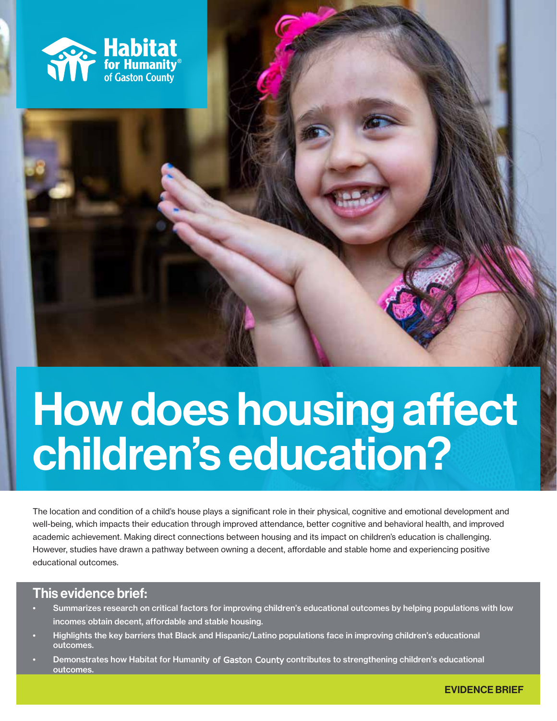

# How does housing affect children's education?

The location and condition of a child's house plays a significant role in their physical, cognitive and emotional development and well-being, which impacts their education through improved attendance, better cognitive and behavioral health, and improved academic achievement. Making direct connections between housing and its impact on children's education is challenging. However, studies have drawn a pathway between owning a decent, affordable and stable home and experiencing positive educational outcomes.

# This evidence brief:

- Summarizes research on critical factors for improving children's educational outcomes by helping populations with low incomes obtain decent, affordable and stable housing.
- Highlights the key barriers that Black and Hispanic/Latino populations face in improving children's educational outcomes.
- Demonstrates how Habitat for Humanity of Gaston County contributes to strengthening children's educational outcomes.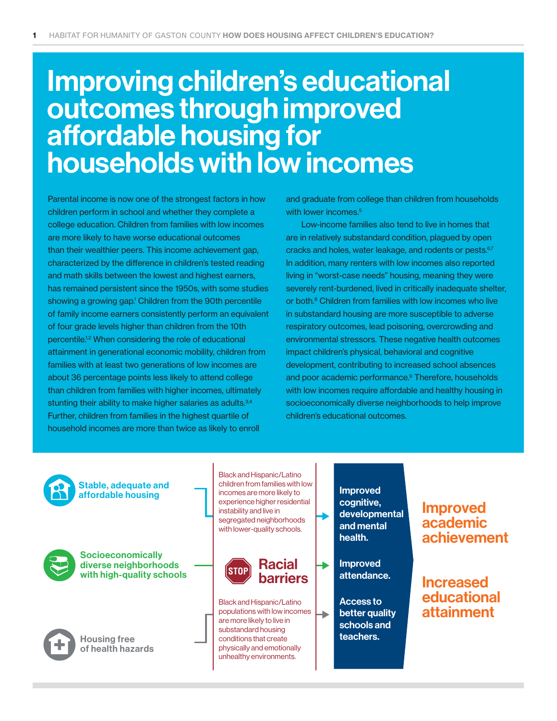# Improving children's educational outcomes through improved affordable housing for households with low incomes

Parental income is now one of the strongest factors in how children perform in school and whether they complete a college education. Children from families with low incomes are more likely to have worse educational outcomes than their wealthier peers. This income achievement gap, characterized by the difference in children's tested reading and math skills between the lowest and highest earners, has remained persistent since the 1950s, with some studies showing a growing gap.<sup>1</sup> Children from the 90th percentile of family income earners consistently perform an equivalent of four grade levels higher than children from the 10th percentile.1,2 When considering the role of educational attainment in generational economic mobility, children from families with at least two generations of low incomes are about 36 percentage points less likely to attend college than children from families with higher incomes, ultimately stunting their ability to make higher salaries as adults.<sup>3,4</sup> Further, children from families in the highest quartile of household incomes are more than twice as likely to enroll

and graduate from college than children from households with lower incomes.<sup>5</sup>

Low-income families also tend to live in homes that are in relatively substandard condition, plagued by open cracks and holes, water leakage, and rodents or pests.<sup>6,7</sup> In addition, many renters with low incomes also reported living in "worst-case needs" housing, meaning they were severely rent-burdened, lived in critically inadequate shelter, or both.<sup>8</sup> Children from families with low incomes who live in substandard housing are more susceptible to adverse respiratory outcomes, lead poisoning, overcrowding and environmental stressors. These negative health outcomes impact children's physical, behavioral and cognitive development, contributing to increased school absences and poor academic performance.<sup>9</sup> Therefore, households with low incomes require affordable and healthy housing in socioeconomically diverse neighborhoods to help improve children's educational outcomes.

Stable, adequate and affordable housing



**Socioeconomically** diverse neighborhoods with high-quality schools



Housing free of health hazards

Black and Hispanic/Latino children from families with low incomes are more likely to experience higher residential instability and live in segregated neighborhoods with lower-quality schools.



Black and Hispanic/Latino populations with low incomes are more likely to live in substandard housing conditions that create physically and emotionally unhealthy environments.

Improved cognitive, developmental and mental health.

Improved attendance.

Access to better quality schools and teachers.

۰

# Improved academic achievement

Increased educational attainment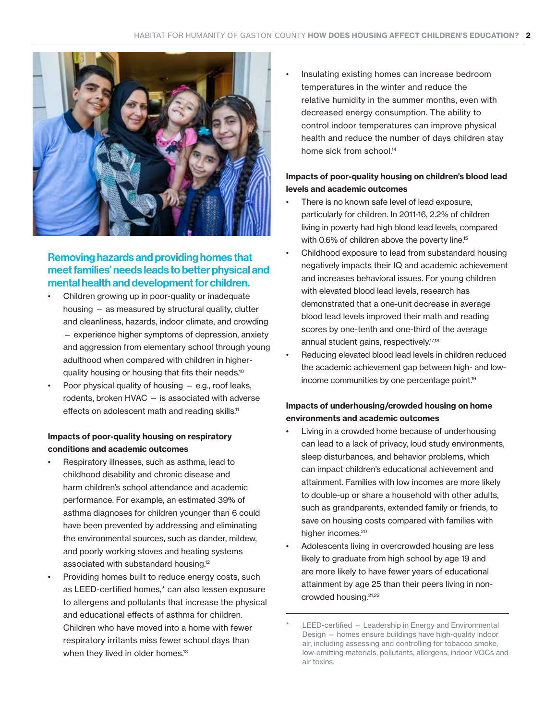

## Removing hazards and providing homes that meet families' needs leads to better physical and mental health and development for children.

- Children growing up in poor-quality or inadequate housing — as measured by structural quality, clutter and cleanliness, hazards, indoor climate, and crowding — experience higher symptoms of depression, anxiety and aggression from elementary school through young adulthood when compared with children in higherquality housing or housing that fits their needs.10
- Poor physical quality of housing  $-$  e.g., roof leaks, rodents, broken HVAC — is associated with adverse effects on adolescent math and reading skills.<sup>11</sup>

#### Impacts of poor-quality housing on respiratory conditions and academic outcomes

- Respiratory illnesses, such as asthma, lead to childhood disability and chronic disease and harm children's school attendance and academic performance. For example, an estimated 39% of asthma diagnoses for children younger than 6 could have been prevented by addressing and eliminating the environmental sources, such as dander, mildew, and poorly working stoves and heating systems associated with substandard housing.12
- Providing homes built to reduce energy costs, such as LEED-certified homes,\* can also lessen exposure to allergens and pollutants that increase the physical and educational effects of asthma for children. Children who have moved into a home with fewer respiratory irritants miss fewer school days than when they lived in older homes.<sup>13</sup>

• Insulating existing homes can increase bedroom temperatures in the winter and reduce the relative humidity in the summer months, even with decreased energy consumption. The ability to control indoor temperatures can improve physical health and reduce the number of days children stay home sick from school.<sup>14</sup>

#### Impacts of poor-quality housing on children's blood lead levels and academic outcomes

- There is no known safe level of lead exposure, particularly for children. In 2011-16, 2.2% of children living in poverty had high blood lead levels, compared with 0.6% of children above the poverty line.<sup>15</sup>
- Childhood exposure to lead from substandard housing negatively impacts their IQ and academic achievement and increases behavioral issues. For young children with elevated blood lead levels, research has demonstrated that a one-unit decrease in average blood lead levels improved their math and reading scores by one-tenth and one-third of the average annual student gains, respectively.17,18
- Reducing elevated blood lead levels in children reduced the academic achievement gap between high- and lowincome communities by one percentage point.<sup>19</sup>

#### Impacts of underhousing/crowded housing on home environments and academic outcomes

- Living in a crowded home because of underhousing can lead to a lack of privacy, loud study environments, sleep disturbances, and behavior problems, which can impact children's educational achievement and attainment. Families with low incomes are more likely to double-up or share a household with other adults, such as grandparents, extended family or friends, to save on housing costs compared with families with higher incomes.<sup>20</sup>
- Adolescents living in overcrowded housing are less likely to graduate from high school by age 19 and are more likely to have fewer years of educational attainment by age 25 than their peers living in noncrowded housing.21,22

LEED-certified - Leadership in Energy and Environmental Design — homes ensure buildings have high-quality indoor air, including assessing and controlling for tobacco smoke, low-emitting materials, pollutants, allergens, indoor VOCs and air toxins.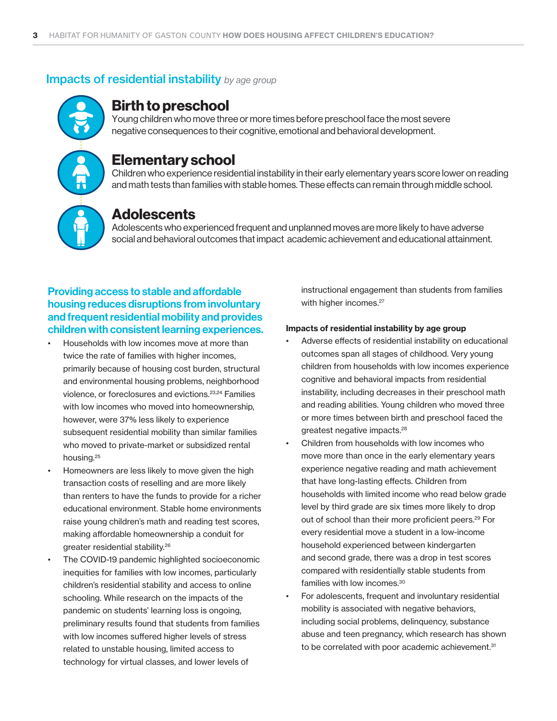### **Impacts of residential instability** by age group

# Birth to preschool

Young children who move three or more times before preschool face the most severe negative consequences to their cognitive, emotional and behavioral development.

# Elementary school

Children who experience residential instability in their early elementary years score lower on reading and math tests than families with stable homes. These effects can remain through middle school.



# Adolescents

Adolescents who experienced frequent and unplanned moves are more likely to have adverse social and behavioral outcomes that impact academic achievement and educational attainment.

## Providing access to stable and affordable housing reduces disruptions from involuntary and frequent residential mobility and provides children with consistent learning experiences.

- Households with low incomes move at more than twice the rate of families with higher incomes, primarily because of housing cost burden, structural and environmental housing problems, neighborhood violence, or foreclosures and evictions.23,24 Families with low incomes who moved into homeownership, however, were 37% less likely to experience subsequent residential mobility than similar families who moved to private-market or subsidized rental housing.25
- Homeowners are less likely to move given the high transaction costs of reselling and are more likely than renters to have the funds to provide for a richer educational environment. Stable home environments raise young children's math and reading test scores, making affordable homeownership a conduit for greater residential stability.26
- The COVID-19 pandemic highlighted socioeconomic inequities for families with low incomes, particularly children's residential stability and access to online schooling. While research on the impacts of the pandemic on students' learning loss is ongoing, preliminary results found that students from families with low incomes suffered higher levels of stress related to unstable housing, limited access to technology for virtual classes, and lower levels of

instructional engagement than students from families with higher incomes.<sup>27</sup>

#### Impacts of residential instability by age group

- Adverse effects of residential instability on educational outcomes span all stages of childhood. Very young children from households with low incomes experience cognitive and behavioral impacts from residential instability, including decreases in their preschool math and reading abilities. Young children who moved three or more times between birth and preschool faced the greatest negative impacts.28
- Children from households with low incomes who move more than once in the early elementary years experience negative reading and math achievement that have long-lasting effects. Children from households with limited income who read below grade level by third grade are six times more likely to drop out of school than their more proficient peers.29 For every residential move a student in a low-income household experienced between kindergarten and second grade, there was a drop in test scores compared with residentially stable students from families with low incomes.30
- For adolescents, frequent and involuntary residential mobility is associated with negative behaviors, including social problems, delinquency, substance abuse and teen pregnancy, which research has shown to be correlated with poor academic achievement.<sup>31</sup>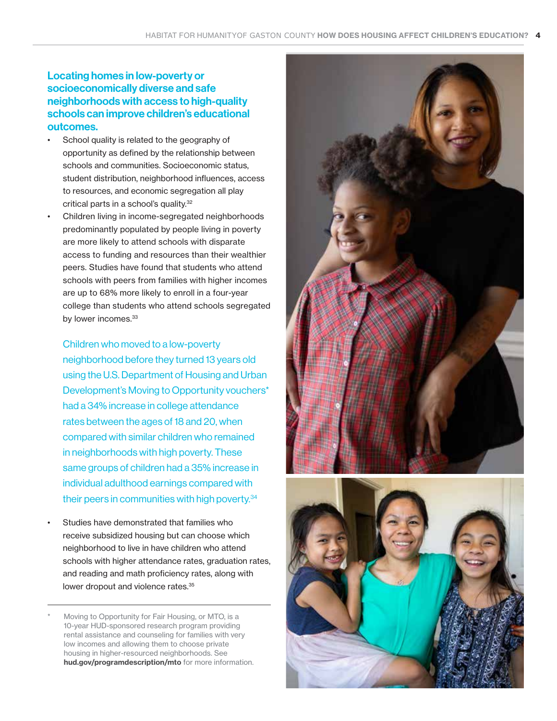### Locating homes in low-poverty or socioeconomically diverse and safe neighborhoods with access to high-quality schools can improve children's educational outcomes.

- School quality is related to the geography of opportunity as defined by the relationship between schools and communities. Socioeconomic status, student distribution, neighborhood influences, access to resources, and economic segregation all play critical parts in a school's quality.32
- Children living in income-segregated neighborhoods predominantly populated by people living in poverty are more likely to attend schools with disparate access to funding and resources than their wealthier peers. Studies have found that students who attend schools with peers from families with higher incomes are up to 68% more likely to enroll in a four-year college than students who attend schools segregated by lower incomes.<sup>33</sup>

Children who moved to a low-poverty neighborhood before they turned 13 years old using the U.S. Department of Housing and Urban Development's Moving to Opportunity vouchers\* had a 34% increase in college attendance rates between the ages of 18 and 20, when compared with similar children who remained in neighborhoods with high poverty. These same groups of children had a 35% increase in individual adulthood earnings compared with their peers in communities with high poverty.34

Studies have demonstrated that families who receive subsidized housing but can choose which neighborhood to live in have children who attend schools with higher attendance rates, graduation rates, and reading and math proficiency rates, along with lower dropout and violence rates.<sup>35</sup>

Moving to Opportunity for Fair Housing, or MTO, is a 10-year HUD-sponsored research program providing rental assistance and counseling for families with very low incomes and allowing them to choose private housing in higher-resourced neighborhoods. See [hud.gov/programdescription/mto](http://hud.gov/programdescription/mto) for more information.



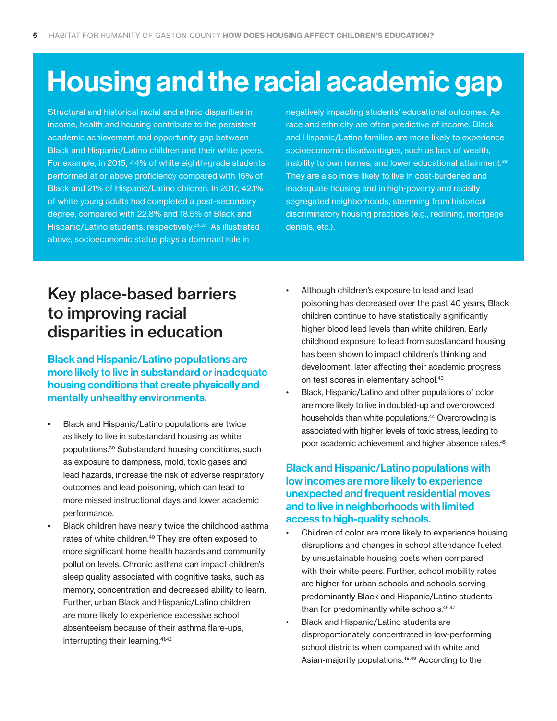# Housing and the racial academic gap

Structural and historical racial and ethnic disparities in income, health and housing contribute to the persistent academic achievement and opportunity gap between Black and Hispanic/Latino children and their white peers. For example, in 2015, 44% of white eighth-grade students performed at or above proficiency compared with 16% of Black and 21% of Hispanic/Latino children. In 2017, 42.1% of white young adults had completed a post-secondary degree, compared with 22.8% and 18.5% of Black and Hispanic/Latino students, respectively.36,37 As illustrated above, socioeconomic status plays a dominant role in

negatively impacting students' educational outcomes. As race and ethnicity are often predictive of income, Black and Hispanic/Latino families are more likely to experience socioeconomic disadvantages, such as lack of wealth, inability to own homes, and lower educational attainment.<sup>38</sup> They are also more likely to live in cost-burdened and inadequate housing and in high-poverty and racially segregated neighborhoods, stemming from historical discriminatory housing practices (e.g., redlining, mortgage denials, etc.).

# Key place-based barriers to improving racial disparities in education

Black and Hispanic/Latino populations are more likely to live in substandard or inadequate housing conditions that create physically and mentally unhealthy environments.

- Black and Hispanic/Latino populations are twice as likely to live in substandard housing as white populations.39 Substandard housing conditions, such as exposure to dampness, mold, toxic gases and lead hazards, increase the risk of adverse respiratory outcomes and lead poisoning, which can lead to more missed instructional days and lower academic performance.
- Black children have nearly twice the childhood asthma rates of white children.<sup>40</sup> They are often exposed to more significant home health hazards and community pollution levels. Chronic asthma can impact children's sleep quality associated with cognitive tasks, such as memory, concentration and decreased ability to learn. Further, urban Black and Hispanic/Latino children are more likely to experience excessive school absenteeism because of their asthma flare-ups, interrupting their learning.41,42
- Although children's exposure to lead and lead poisoning has decreased over the past 40 years, Black children continue to have statistically significantly higher blood lead levels than white children. Early childhood exposure to lead from substandard housing has been shown to impact children's thinking and development, later affecting their academic progress on test scores in elementary school.<sup>43</sup>
- Black, Hispanic/Latino and other populations of color are more likely to live in doubled-up and overcrowded households than white populations.<sup>44</sup> Overcrowding is associated with higher levels of toxic stress, leading to poor academic achievement and higher absence rates.45

### Black and Hispanic/Latino populations with low incomes are more likely to experience unexpected and frequent residential moves and to live in neighborhoods with limited access to high-quality schools.

- Children of color are more likely to experience housing disruptions and changes in school attendance fueled by unsustainable housing costs when compared with their white peers. Further, school mobility rates are higher for urban schools and schools serving predominantly Black and Hispanic/Latino students than for predominantly white schools.<sup>46,47</sup>
- Black and Hispanic/Latino students are disproportionately concentrated in low-performing school districts when compared with white and Asian-majority populations.48,49 According to the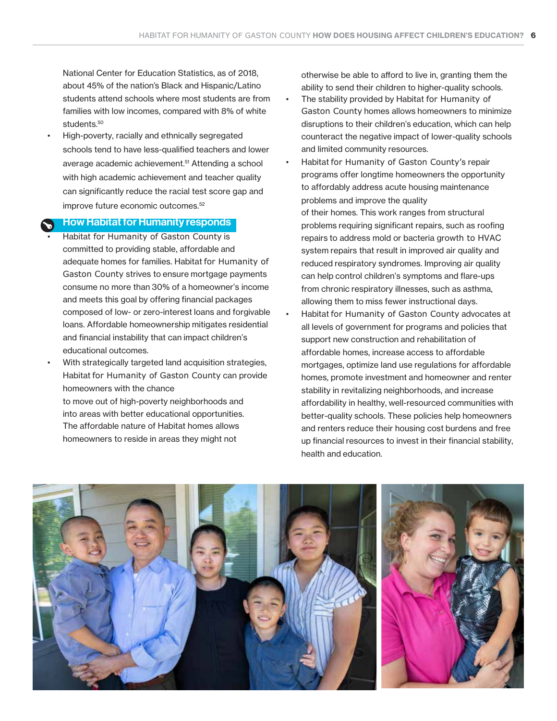National Center for Education Statistics, as of 2018, about 45% of the nation's Black and Hispanic/Latino students attend schools where most students are from families with low incomes, compared with 8% of white students.<sup>50</sup>

• High-poverty, racially and ethnically segregated schools tend to have less-qualified teachers and lower average academic achievement.<sup>51</sup> Attending a school with high academic achievement and teacher quality can significantly reduce the racial test score gap and improve future economic outcomes.<sup>52</sup>

#### How Habitat for Humanity responds

- Habitat for Humanity of Gaston County is committed to providing stable, affordable and adequate homes for families. Habitat for Humanity of Gaston County strives to ensure mortgage payments consume no more than 30% of a homeowner's income and meets this goal by offering financial packages composed of low- or zero-interest loans and forgivable loans. Affordable homeownership mitigates residential and financial instability that can impact children's educational outcomes.
- With strategically targeted land acquisition strategies, Habitat for Humanity of Gaston County can provide homeowners with the chance

to move out of high-poverty neighborhoods and into areas with better educational opportunities. The affordable nature of Habitat homes allows homeowners to reside in areas they might not

otherwise be able to afford to live in, granting them the ability to send their children to higher-quality schools.

- The stability provided by Habitat for Humanity of Gaston County homes allows homeowners to minimize disruptions to their children's education, which can help counteract the negative impact of lower-quality schools and limited community resources.
- Habitat for Humanity of Gaston County's repair programs offer longtime homeowners the opportunity to affordably address acute housing maintenance problems and improve the quality of their homes. This work ranges from structural problems requiring significant repairs, such as roofing repairs to address mold or bacteria growth to HVAC system repairs that result in improved air quality and reduced respiratory syndromes. Improving air quality can help control children's symptoms and flare-ups from chronic respiratory illnesses, such as asthma, allowing them to miss fewer instructional days.
- Habitat for Humanity of Gaston County advocates at all levels of government for programs and policies that support new construction and rehabilitation of affordable homes, increase access to affordable mortgages, optimize land use regulations for affordable homes, promote investment and homeowner and renter stability in revitalizing neighborhoods, and increase affordability in healthy, well-resourced communities with better-quality schools. These policies help homeowners and renters reduce their housing cost burdens and free up financial resources to invest in their financial stability, health and education.